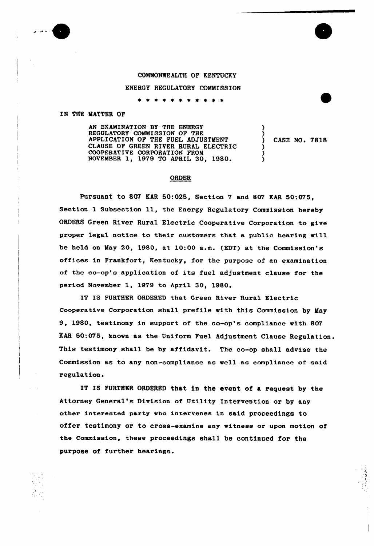

## COMMONWEALTH OF KENTUCKY

ENERGY REGULATORY COMMISSION

\* \* \* \* \* \* \* \* \* \*

## IN THE MATTER OF

AN EXAMINATION BY THE ENERGY REGULATORY COMMISSION OF THE APPLICATION OF THE FUEL ADJUSTMENT CLAUSE OF GREEN RIVER RURAL ELECTRIC COOPERATIVE CORPORATION FROM NOVEMBER 1, 1979 TO APRIL 30, 1980.

) CASE NO <sup>~</sup> 7818

) )

) )  $\overline{\mathbf{y}}$ 

## ORDER

Pursuant to 807 KAR 50:025, Section 7 and 807 KAR 50:075, Section <sup>1</sup> Subsection ll, the Energy Regulatory Commission hereby ORDERS Green River Rural Electric Cooperative Corporation to give proper legal notice to their customers that a public hearing vill be held on May 20, 1980, at 10:00 a.m. (EDT) at the Commission's offices in Frankfort, Kentucky, for the purpose of an examination of the co-op's application of its fuel adjustment clause for the period November 1, 1979 to April 30, 1980

'T IS FURTHER ORDERED that Green River Rural Electric Cooperative Corporation shall prefile with this Commission by May 9, 1980, testimony in support of the co-op's compliance with 807 EAR 50:075, known as the Uniform Fuel Ad)ustment Clause Regulation. This testimony shall be by affidavit. The co-op shall advise the Commission as to any non-compliance as well as compliance of said regulation.

IT IS FURTHER ORDERED that in the event of a request by the Attorney General's Division of Utility Intervention or by any other interested party who intervenes in said proceedings to offer testimony or to cross-examine any witness or upon motion of the commission, these proceedings shall be continued for the purpose of further hearings.